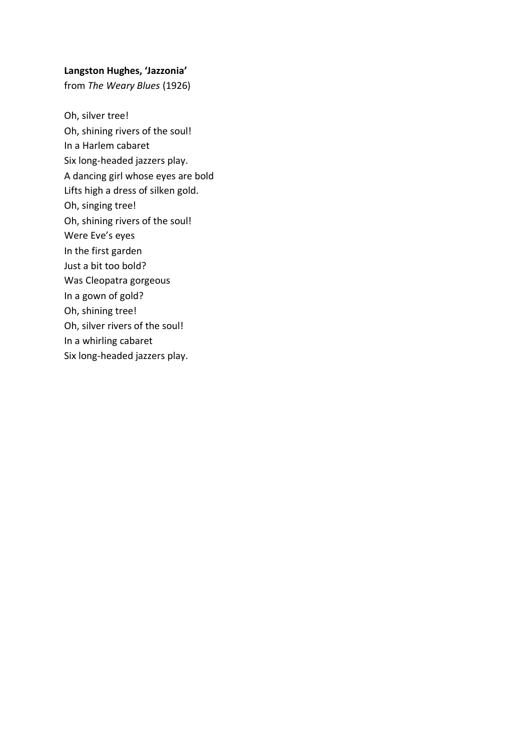# **Langston Hughes, 'Jazzonia'**

from *The Weary Blues* (1926)

Oh, silver tree! Oh, shining rivers of the soul! In a Harlem cabaret Six long-headed jazzers play. A dancing girl whose eyes are bold Lifts high a dress of silken gold. Oh, singing tree! Oh, shining rivers of the soul! Were Eve's eyes In the first garden Just a bit too bold? Was Cleopatra gorgeous In a gown of gold? Oh, shining tree! Oh, silver rivers of the soul! In a whirling cabaret Six long-headed jazzers play.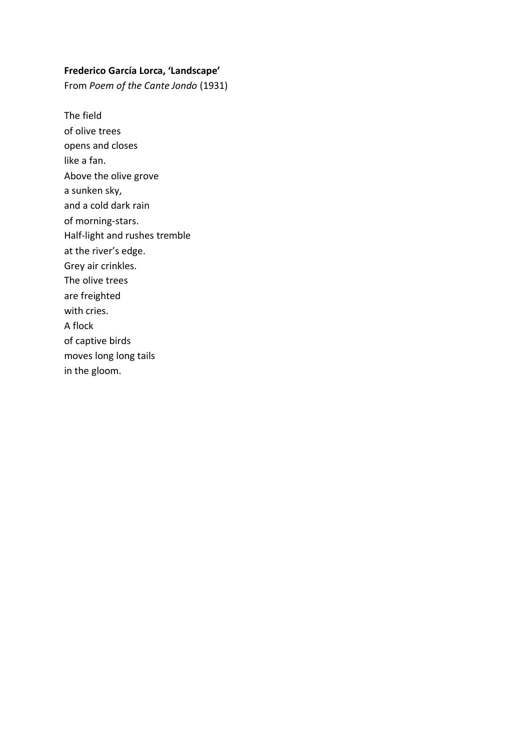# **Frederico García Lorca, 'Landscape'**

From *Poem of the Cante Jondo* (1931)

The field of olive trees opens and closes like a fan. Above the olive grove a sunken sky, and a cold dark rain of morning-stars. Half-light and rushes tremble at the river's edge. Grey air crinkles. The olive trees are freighted with cries. A flock of captive birds moves long long tails in the gloom.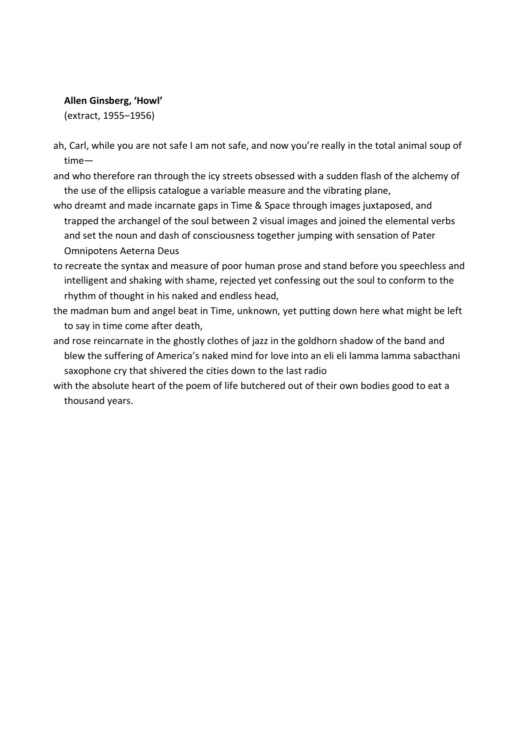# **Allen Ginsberg, 'Howl'**

(extract, 1955–1956)

- ah, Carl, while you are not safe I am not safe, and now you're really in the total animal soup of time—
- and who therefore ran through the icy streets obsessed with a sudden flash of the alchemy of the use of the ellipsis catalogue a variable measure and the vibrating plane,
- who dreamt and made incarnate gaps in Time & Space through images juxtaposed, and trapped the archangel of the soul between 2 visual images and joined the elemental verbs and set the noun and dash of consciousness together jumping with sensation of Pater Omnipotens Aeterna Deus
- to recreate the syntax and measure of poor human prose and stand before you speechless and intelligent and shaking with shame, rejected yet confessing out the soul to conform to the rhythm of thought in his naked and endless head,
- the madman bum and angel beat in Time, unknown, yet putting down here what might be left to say in time come after death,
- and rose reincarnate in the ghostly clothes of jazz in the goldhorn shadow of the band and blew the suffering of America's naked mind for love into an eli eli lamma lamma sabacthani saxophone cry that shivered the cities down to the last radio
- with the absolute heart of the poem of life butchered out of their own bodies good to eat a thousand years.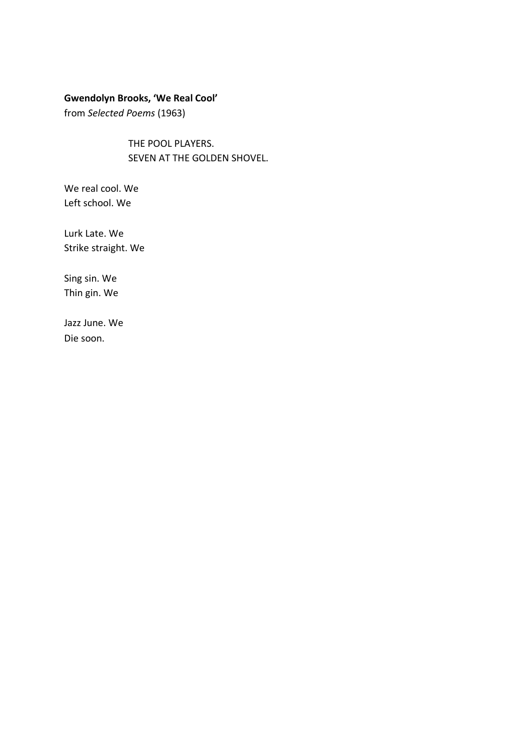### **Gwendolyn Brooks, 'We Real Cool'**

from *Selected Poems* (1963)

THE POOL PLAYERS. SEVEN AT THE GOLDEN SHOVEL.

We real cool. We Left school. We

Lurk Late. We Strike straight. We

Sing sin. We Thin gin. We

Jazz June. We Die soon.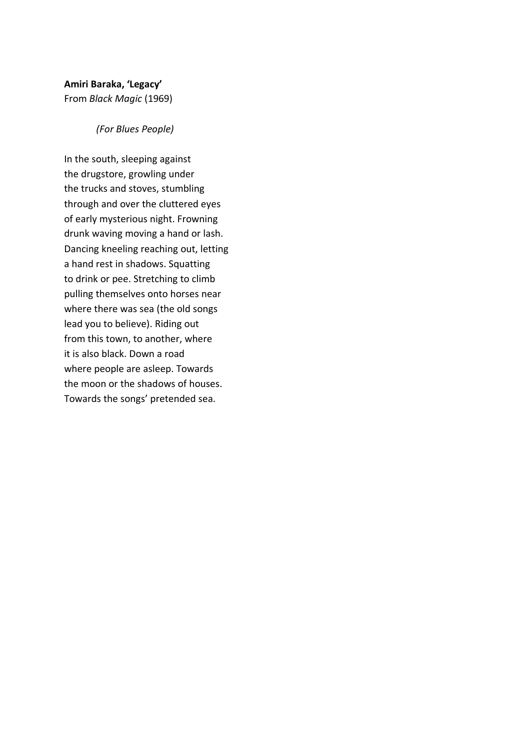# **Amiri Baraka, 'Legacy'**

From *Black Magic* (1969)

### *(For Blues People)*

In the south, sleeping against the drugstore, growling under the trucks and stoves, stumbling through and over the cluttered eyes of early mysterious night. Frowning drunk waving moving a hand or lash. Dancing kneeling reaching out, letting a hand rest in shadows. Squatting to drink or pee. Stretching to climb pulling themselves onto horses near where there was sea (the old songs lead you to believe). Riding out from this town, to another, where it is also black. Down a road where people are asleep. Towards the moon or the shadows of houses. Towards the songs' pretended sea.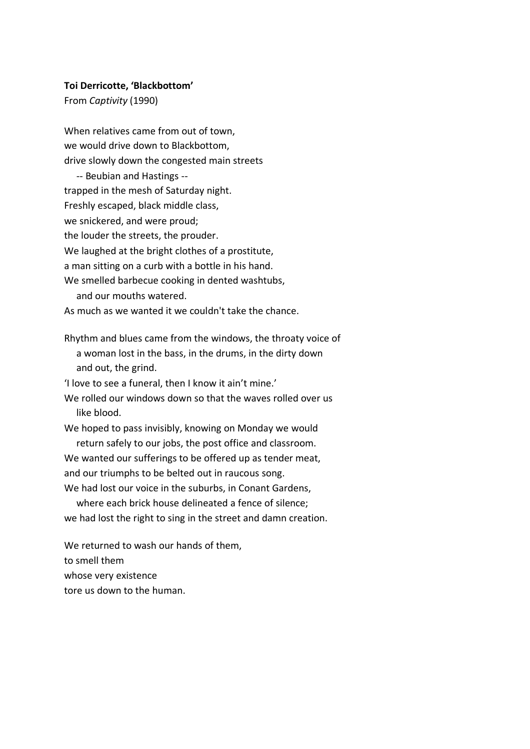#### **Toi Derricotte, 'Blackbottom'**

From *Captivity* (1990)

When relatives came from out of town, we would drive down to Blackbottom, drive slowly down the congested main streets -- Beubian and Hastings - trapped in the mesh of Saturday night. Freshly escaped, black middle class, we snickered, and were proud; the louder the streets, the prouder. We laughed at the bright clothes of a prostitute, a man sitting on a curb with a bottle in his hand. We smelled barbecue cooking in dented washtubs, and our mouths watered. As much as we wanted it we couldn't take the chance.

Rhythm and blues came from the windows, the throaty voice of a woman lost in the bass, in the drums, in the dirty down and out, the grind.

'I love to see a funeral, then I know it ain't mine.'

We rolled our windows down so that the waves rolled over us like blood.

We hoped to pass invisibly, knowing on Monday we would return safely to our jobs, the post office and classroom.

We wanted our sufferings to be offered up as tender meat, and our triumphs to be belted out in raucous song.

We had lost our voice in the suburbs, in Conant Gardens,

 where each brick house delineated a fence of silence; we had lost the right to sing in the street and damn creation.

We returned to wash our hands of them, to smell them whose very existence tore us down to the human.